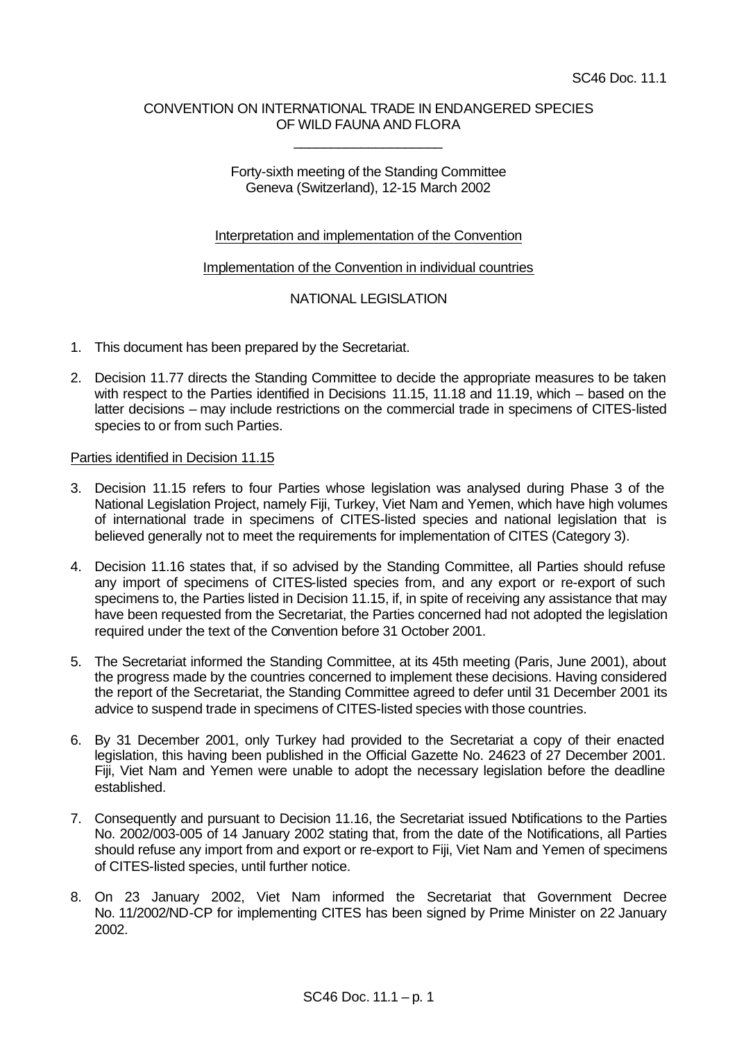## CONVENTION ON INTERNATIONAL TRADE IN ENDANGERED SPECIES OF WILD FAUNA AND FLORA

\_\_\_\_\_\_\_\_\_\_\_\_\_\_\_\_\_\_\_\_

## Forty-sixth meeting of the Standing Committee Geneva (Switzerland), 12-15 March 2002

## Interpretation and implementation of the Convention

### Implementation of the Convention in individual countries

# NATIONAL LEGISLATION

- 1. This document has been prepared by the Secretariat.
- 2. Decision 11.77 directs the Standing Committee to decide the appropriate measures to be taken with respect to the Parties identified in Decisions 11.15, 11.18 and 11.19, which – based on the latter decisions – may include restrictions on the commercial trade in specimens of CITES-listed species to or from such Parties.

### Parties identified in Decision 11.15

- 3. Decision 11.15 refers to four Parties whose legislation was analysed during Phase 3 of the National Legislation Project, namely Fiji, Turkey, Viet Nam and Yemen, which have high volumes of international trade in specimens of CITES-listed species and national legislation that is believed generally not to meet the requirements for implementation of CITES (Category 3).
- 4. Decision 11.16 states that, if so advised by the Standing Committee, all Parties should refuse any import of specimens of CITES-listed species from, and any export or re-export of such specimens to, the Parties listed in Decision 11.15, if, in spite of receiving any assistance that may have been requested from the Secretariat, the Parties concerned had not adopted the legislation required under the text of the Convention before 31 October 2001.
- 5. The Secretariat informed the Standing Committee, at its 45th meeting (Paris, June 2001), about the progress made by the countries concerned to implement these decisions. Having considered the report of the Secretariat, the Standing Committee agreed to defer until 31 December 2001 its advice to suspend trade in specimens of CITES-listed species with those countries.
- 6. By 31 December 2001, only Turkey had provided to the Secretariat a copy of their enacted legislation, this having been published in the Official Gazette No. 24623 of 27 December 2001. Fiji, Viet Nam and Yemen were unable to adopt the necessary legislation before the deadline established.
- 7. Consequently and pursuant to Decision 11.16, the Secretariat issued Notifications to the Parties No. 2002/003-005 of 14 January 2002 stating that, from the date of the Notifications, all Parties should refuse any import from and export or re-export to Fiji, Viet Nam and Yemen of specimens of CITES-listed species, until further notice.
- 8. On 23 January 2002, Viet Nam informed the Secretariat that Government Decree No. 11/2002/ND-CP for implementing CITES has been signed by Prime Minister on 22 January 2002.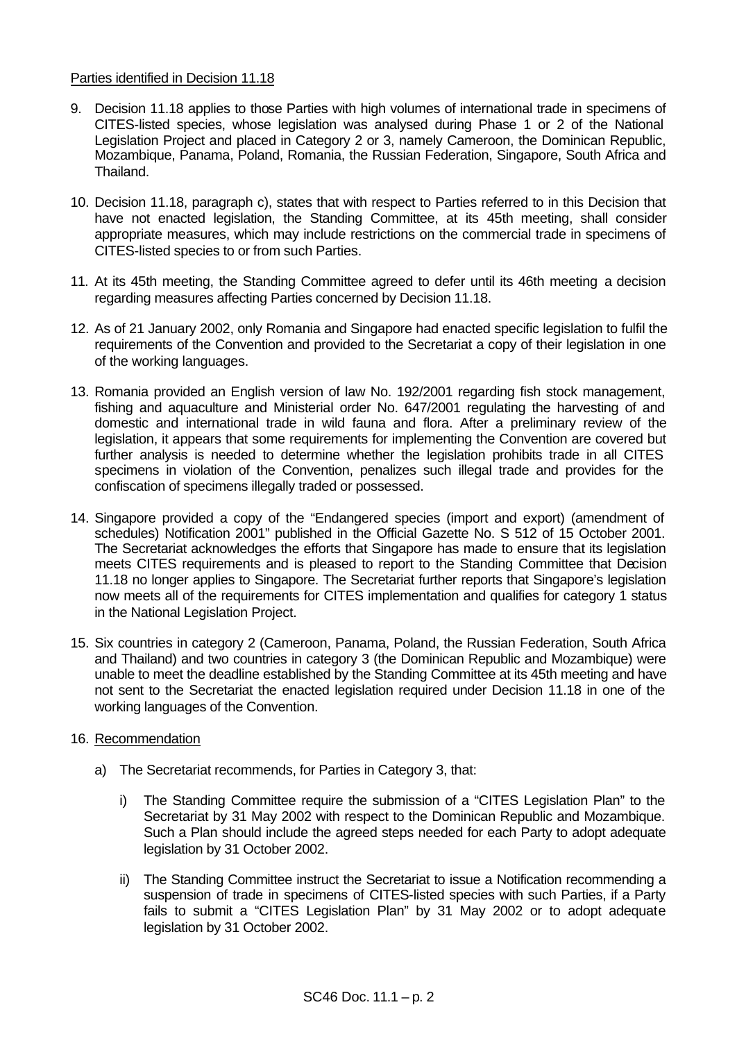### Parties identified in Decision 11.18

- 9. Decision 11.18 applies to those Parties with high volumes of international trade in specimens of CITES-listed species, whose legislation was analysed during Phase 1 or 2 of the National Legislation Project and placed in Category 2 or 3, namely Cameroon, the Dominican Republic, Mozambique, Panama, Poland, Romania, the Russian Federation, Singapore, South Africa and Thailand.
- 10. Decision 11.18, paragraph c), states that with respect to Parties referred to in this Decision that have not enacted legislation, the Standing Committee, at its 45th meeting, shall consider appropriate measures, which may include restrictions on the commercial trade in specimens of CITES-listed species to or from such Parties.
- 11. At its 45th meeting, the Standing Committee agreed to defer until its 46th meeting a decision regarding measures affecting Parties concerned by Decision 11.18.
- 12. As of 21 January 2002, only Romania and Singapore had enacted specific legislation to fulfil the requirements of the Convention and provided to the Secretariat a copy of their legislation in one of the working languages.
- 13. Romania provided an English version of law No. 192/2001 regarding fish stock management, fishing and aquaculture and Ministerial order No. 647/2001 regulating the harvesting of and domestic and international trade in wild fauna and flora. After a preliminary review of the legislation, it appears that some requirements for implementing the Convention are covered but further analysis is needed to determine whether the legislation prohibits trade in all CITES specimens in violation of the Convention, penalizes such illegal trade and provides for the confiscation of specimens illegally traded or possessed.
- 14. Singapore provided a copy of the "Endangered species (import and export) (amendment of schedules) Notification 2001" published in the Official Gazette No. S 512 of 15 October 2001. The Secretariat acknowledges the efforts that Singapore has made to ensure that its legislation meets CITES requirements and is pleased to report to the Standing Committee that Decision 11.18 no longer applies to Singapore. The Secretariat further reports that Singapore's legislation now meets all of the requirements for CITES implementation and qualifies for category 1 status in the National Legislation Project.
- 15. Six countries in category 2 (Cameroon, Panama, Poland, the Russian Federation, South Africa and Thailand) and two countries in category 3 (the Dominican Republic and Mozambique) were unable to meet the deadline established by the Standing Committee at its 45th meeting and have not sent to the Secretariat the enacted legislation required under Decision 11.18 in one of the working languages of the Convention.

## 16. Recommendation

- a) The Secretariat recommends, for Parties in Category 3, that:
	- i) The Standing Committee require the submission of a "CITES Legislation Plan" to the Secretariat by 31 May 2002 with respect to the Dominican Republic and Mozambique. Such a Plan should include the agreed steps needed for each Party to adopt adequate legislation by 31 October 2002.
	- ii) The Standing Committee instruct the Secretariat to issue a Notification recommending a suspension of trade in specimens of CITES-listed species with such Parties, if a Party fails to submit a "CITES Legislation Plan" by 31 May 2002 or to adopt adequate legislation by 31 October 2002.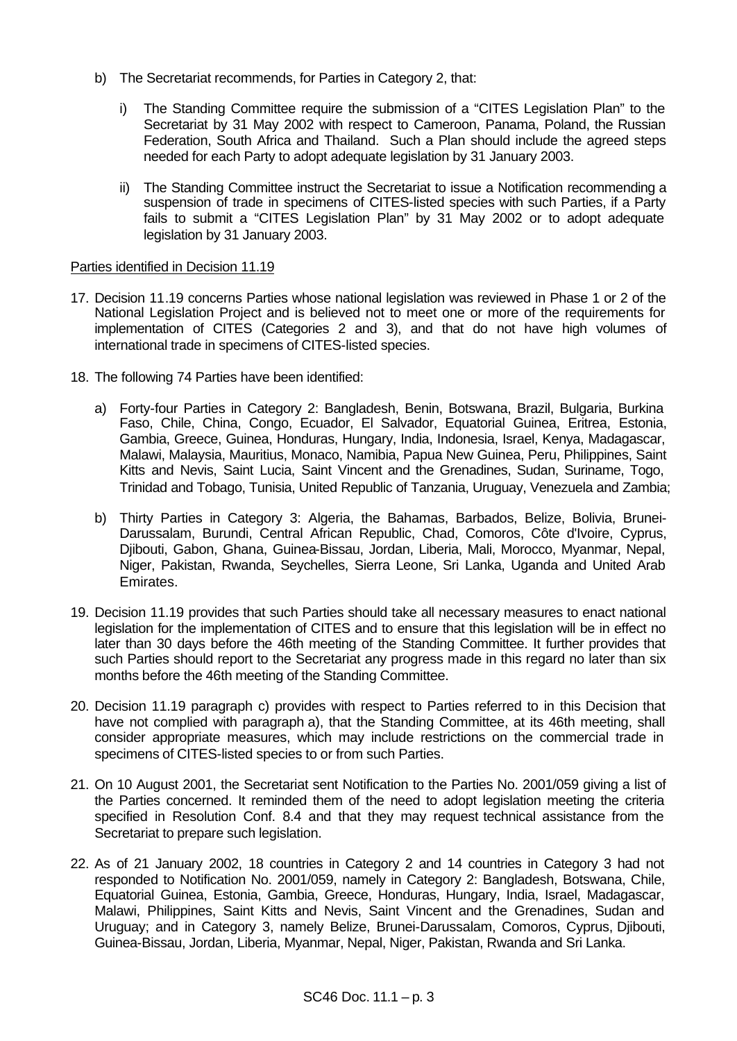- b) The Secretariat recommends, for Parties in Category 2, that:
	- i) The Standing Committee require the submission of a "CITES Legislation Plan" to the Secretariat by 31 May 2002 with respect to Cameroon, Panama, Poland, the Russian Federation, South Africa and Thailand. Such a Plan should include the agreed steps needed for each Party to adopt adequate legislation by 31 January 2003.
	- ii) The Standing Committee instruct the Secretariat to issue a Notification recommending a suspension of trade in specimens of CITES-listed species with such Parties, if a Party fails to submit a "CITES Legislation Plan" by 31 May 2002 or to adopt adequate legislation by 31 January 2003.

## Parties identified in Decision 11.19

- 17. Decision 11.19 concerns Parties whose national legislation was reviewed in Phase 1 or 2 of the National Legislation Project and is believed not to meet one or more of the requirements for implementation of CITES (Categories 2 and 3), and that do not have high volumes of international trade in specimens of CITES-listed species.
- 18. The following 74 Parties have been identified:
	- a) Forty-four Parties in Category 2: Bangladesh, Benin, Botswana, Brazil, Bulgaria, Burkina Faso, Chile, China, Congo, Ecuador, El Salvador, Equatorial Guinea, Eritrea, Estonia, Gambia, Greece, Guinea, Honduras, Hungary, India, Indonesia, Israel, Kenya, Madagascar, Malawi, Malaysia, Mauritius, Monaco, Namibia, Papua New Guinea, Peru, Philippines, Saint Kitts and Nevis, Saint Lucia, Saint Vincent and the Grenadines, Sudan, Suriname, Togo, Trinidad and Tobago, Tunisia, United Republic of Tanzania, Uruguay, Venezuela and Zambia;
	- b) Thirty Parties in Category 3: Algeria, the Bahamas, Barbados, Belize, Bolivia, Brunei-Darussalam, Burundi, Central African Republic, Chad, Comoros, Côte d'Ivoire, Cyprus, Djibouti, Gabon, Ghana, Guinea-Bissau, Jordan, Liberia, Mali, Morocco, Myanmar, Nepal, Niger, Pakistan, Rwanda, Seychelles, Sierra Leone, Sri Lanka, Uganda and United Arab Emirates.
- 19. Decision 11.19 provides that such Parties should take all necessary measures to enact national legislation for the implementation of CITES and to ensure that this legislation will be in effect no later than 30 days before the 46th meeting of the Standing Committee. It further provides that such Parties should report to the Secretariat any progress made in this regard no later than six months before the 46th meeting of the Standing Committee.
- 20. Decision 11.19 paragraph c) provides with respect to Parties referred to in this Decision that have not complied with paragraph a), that the Standing Committee, at its 46th meeting, shall consider appropriate measures, which may include restrictions on the commercial trade in specimens of CITES-listed species to or from such Parties.
- 21. On 10 August 2001, the Secretariat sent Notification to the Parties No. 2001/059 giving a list of the Parties concerned. It reminded them of the need to adopt legislation meeting the criteria specified in Resolution Conf. 8.4 and that they may request technical assistance from the Secretariat to prepare such legislation.
- 22. As of 21 January 2002, 18 countries in Category 2 and 14 countries in Category 3 had not responded to Notification No. 2001/059, namely in Category 2: Bangladesh, Botswana, Chile, Equatorial Guinea, Estonia, Gambia, Greece, Honduras, Hungary, India, Israel, Madagascar, Malawi, Philippines, Saint Kitts and Nevis, Saint Vincent and the Grenadines, Sudan and Uruguay; and in Category 3, namely Belize, Brunei-Darussalam, Comoros, Cyprus, Djibouti, Guinea-Bissau, Jordan, Liberia, Myanmar, Nepal, Niger, Pakistan, Rwanda and Sri Lanka.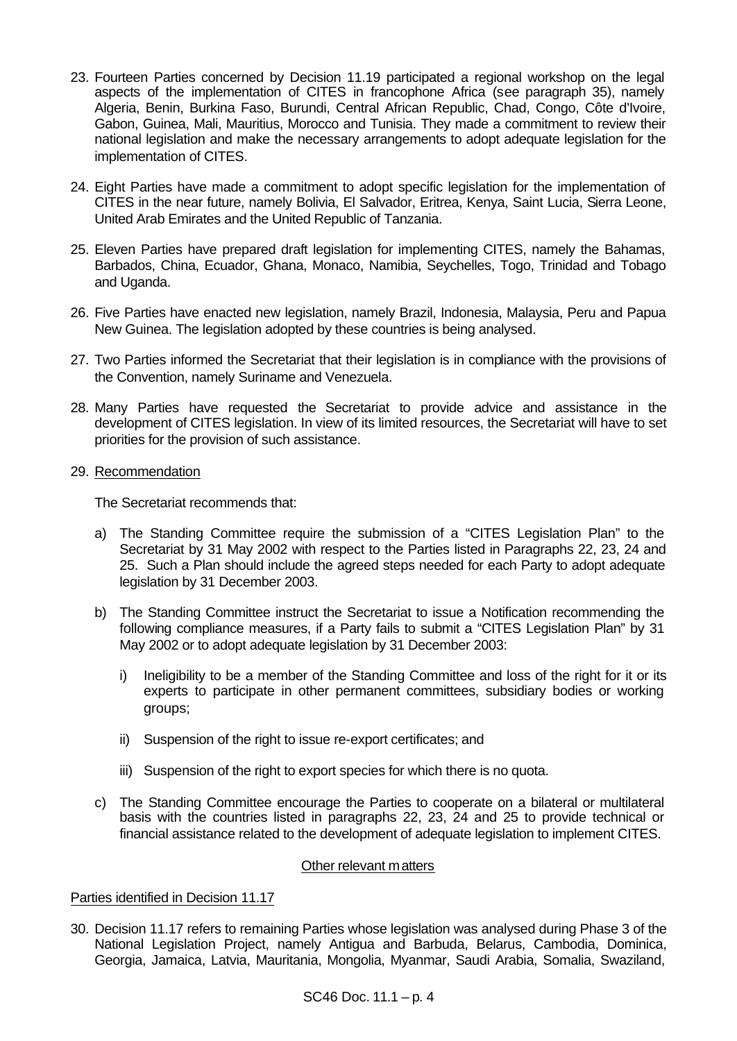- 23. Fourteen Parties concerned by Decision 11.19 participated a regional workshop on the legal aspects of the implementation of CITES in francophone Africa (see paragraph 35), namely Algeria, Benin, Burkina Faso, Burundi, Central African Republic, Chad, Congo, Côte d'Ivoire, Gabon, Guinea, Mali, Mauritius, Morocco and Tunisia. They made a commitment to review their national legislation and make the necessary arrangements to adopt adequate legislation for the implementation of CITES.
- 24. Eight Parties have made a commitment to adopt specific legislation for the implementation of CITES in the near future, namely Bolivia, El Salvador, Eritrea, Kenya, Saint Lucia, Sierra Leone, United Arab Emirates and the United Republic of Tanzania.
- 25. Eleven Parties have prepared draft legislation for implementing CITES, namely the Bahamas, Barbados, China, Ecuador, Ghana, Monaco, Namibia, Seychelles, Togo, Trinidad and Tobago and Uganda.
- 26. Five Parties have enacted new legislation, namely Brazil, Indonesia, Malaysia, Peru and Papua New Guinea. The legislation adopted by these countries is being analysed.
- 27. Two Parties informed the Secretariat that their legislation is in compliance with the provisions of the Convention, namely Suriname and Venezuela.
- 28. Many Parties have requested the Secretariat to provide advice and assistance in the development of CITES legislation. In view of its limited resources, the Secretariat will have to set priorities for the provision of such assistance.
- 29. Recommendation

The Secretariat recommends that:

- a) The Standing Committee require the submission of a "CITES Legislation Plan" to the Secretariat by 31 May 2002 with respect to the Parties listed in Paragraphs 22, 23, 24 and 25. Such a Plan should include the agreed steps needed for each Party to adopt adequate legislation by 31 December 2003.
- b) The Standing Committee instruct the Secretariat to issue a Notification recommending the following compliance measures, if a Party fails to submit a "CITES Legislation Plan" by 31 May 2002 or to adopt adequate legislation by 31 December 2003:
	- i) Ineligibility to be a member of the Standing Committee and loss of the right for it or its experts to participate in other permanent committees, subsidiary bodies or working groups;
	- ii) Suspension of the right to issue re-export certificates; and
	- iii) Suspension of the right to export species for which there is no quota.
- c) The Standing Committee encourage the Parties to cooperate on a bilateral or multilateral basis with the countries listed in paragraphs 22, 23, 24 and 25 to provide technical or financial assistance related to the development of adequate legislation to implement CITES.

#### Other relevant matters

#### Parties identified in Decision 11.17

30. Decision 11.17 refers to remaining Parties whose legislation was analysed during Phase 3 of the National Legislation Project, namely Antigua and Barbuda, Belarus, Cambodia, Dominica, Georgia, Jamaica, Latvia, Mauritania, Mongolia, Myanmar, Saudi Arabia, Somalia, Swaziland,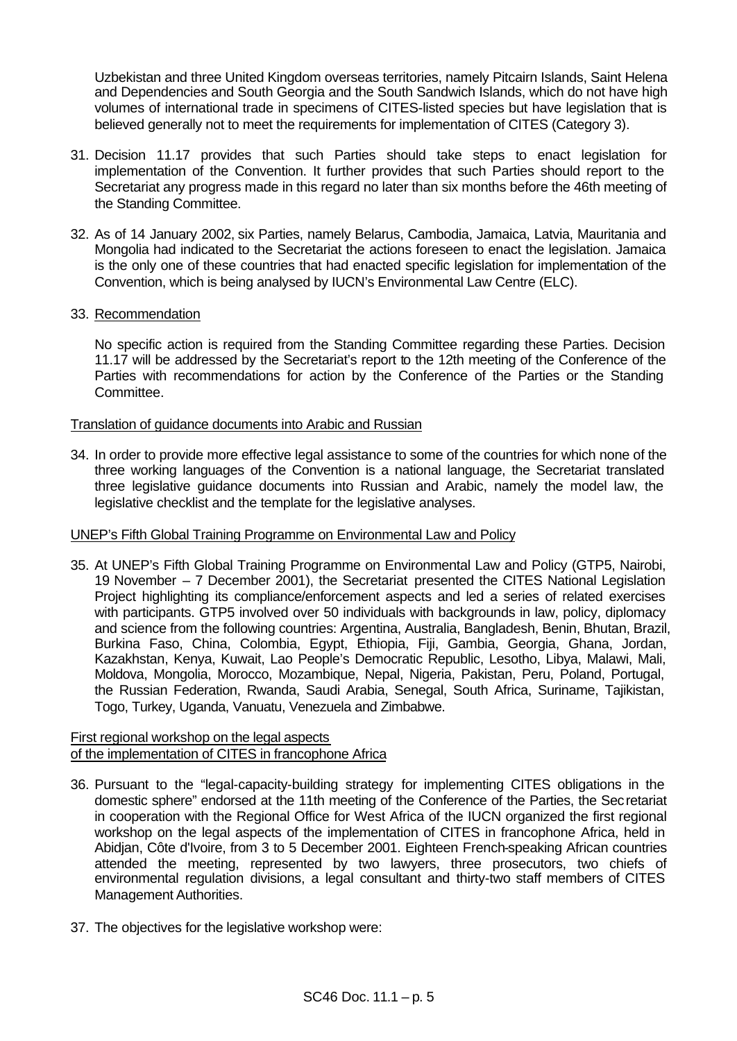Uzbekistan and three United Kingdom overseas territories, namely Pitcairn Islands, Saint Helena and Dependencies and South Georgia and the South Sandwich Islands, which do not have high volumes of international trade in specimens of CITES-listed species but have legislation that is believed generally not to meet the requirements for implementation of CITES (Category 3).

- 31. Decision 11.17 provides that such Parties should take steps to enact legislation for implementation of the Convention. It further provides that such Parties should report to the Secretariat any progress made in this regard no later than six months before the 46th meeting of the Standing Committee.
- 32. As of 14 January 2002, six Parties, namely Belarus, Cambodia, Jamaica, Latvia, Mauritania and Mongolia had indicated to the Secretariat the actions foreseen to enact the legislation. Jamaica is the only one of these countries that had enacted specific legislation for implementation of the Convention, which is being analysed by IUCN's Environmental Law Centre (ELC).
- 33. Recommendation

No specific action is required from the Standing Committee regarding these Parties. Decision 11.17 will be addressed by the Secretariat's report to the 12th meeting of the Conference of the Parties with recommendations for action by the Conference of the Parties or the Standing Committee.

Translation of guidance documents into Arabic and Russian

34. In order to provide more effective legal assistance to some of the countries for which none of the three working languages of the Convention is a national language, the Secretariat translated three legislative guidance documents into Russian and Arabic, namely the model law, the legislative checklist and the template for the legislative analyses.

## UNEP's Fifth Global Training Programme on Environmental Law and Policy

35. At UNEP's Fifth Global Training Programme on Environmental Law and Policy (GTP5, Nairobi, 19 November – 7 December 2001), the Secretariat presented the CITES National Legislation Project highlighting its compliance/enforcement aspects and led a series of related exercises with participants. GTP5 involved over 50 individuals with backgrounds in law, policy, diplomacy and science from the following countries: Argentina, Australia, Bangladesh, Benin, Bhutan, Brazil, Burkina Faso, China, Colombia, Egypt, Ethiopia, Fiji, Gambia, Georgia, Ghana, Jordan, Kazakhstan, Kenya, Kuwait, Lao People's Democratic Republic, Lesotho, Libya, Malawi, Mali, Moldova, Mongolia, Morocco, Mozambique, Nepal, Nigeria, Pakistan, Peru, Poland, Portugal, the Russian Federation, Rwanda, Saudi Arabia, Senegal, South Africa, Suriname, Tajikistan, Togo, Turkey, Uganda, Vanuatu, Venezuela and Zimbabwe.

#### First regional workshop on the legal aspects of the implementation of CITES in francophone Africa

- 36. Pursuant to the "legal-capacity-building strategy for implementing CITES obligations in the domestic sphere" endorsed at the 11th meeting of the Conference of the Parties, the Secretariat in cooperation with the Regional Office for West Africa of the IUCN organized the first regional workshop on the legal aspects of the implementation of CITES in francophone Africa, held in Abidjan, Côte d'Ivoire, from 3 to 5 December 2001. Eighteen French-speaking African countries attended the meeting, represented by two lawyers, three prosecutors, two chiefs of environmental regulation divisions, a legal consultant and thirty-two staff members of CITES Management Authorities.
- 37. The objectives for the legislative workshop were: